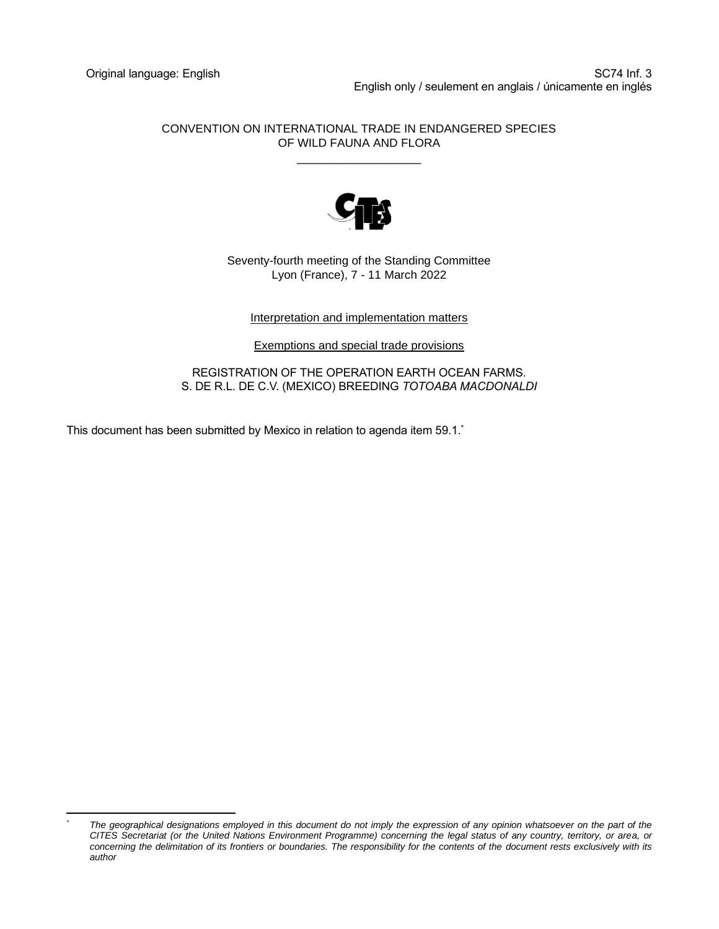CONVENTION ON INTERNATIONAL TRADE IN ENDANGERED SPECIES OF WILD FAUNA AND FLORA \_\_\_\_\_\_\_\_\_\_\_\_\_\_\_\_\_\_\_



## Seventy-fourth meeting of the Standing Committee Lyon (France), 7 - 11 March 2022

## Interpretation and implementation matters

Exemptions and special trade provisions

REGISTRATION OF THE OPERATION EARTH OCEAN FARMS. S. DE R.L. DE C.V. (MEXICO) BREEDING *TOTOABA MACDONALDI*

This document has been submitted by Mexico in relation to agenda item 59.1.\*

*<sup>\*</sup> The geographical designations employed in this document do not imply the expression of any opinion whatsoever on the part of the CITES Secretariat (or the United Nations Environment Programme) concerning the legal status of any country, territory, or area, or concerning the delimitation of its frontiers or boundaries. The responsibility for the contents of the document rests exclusively with its author*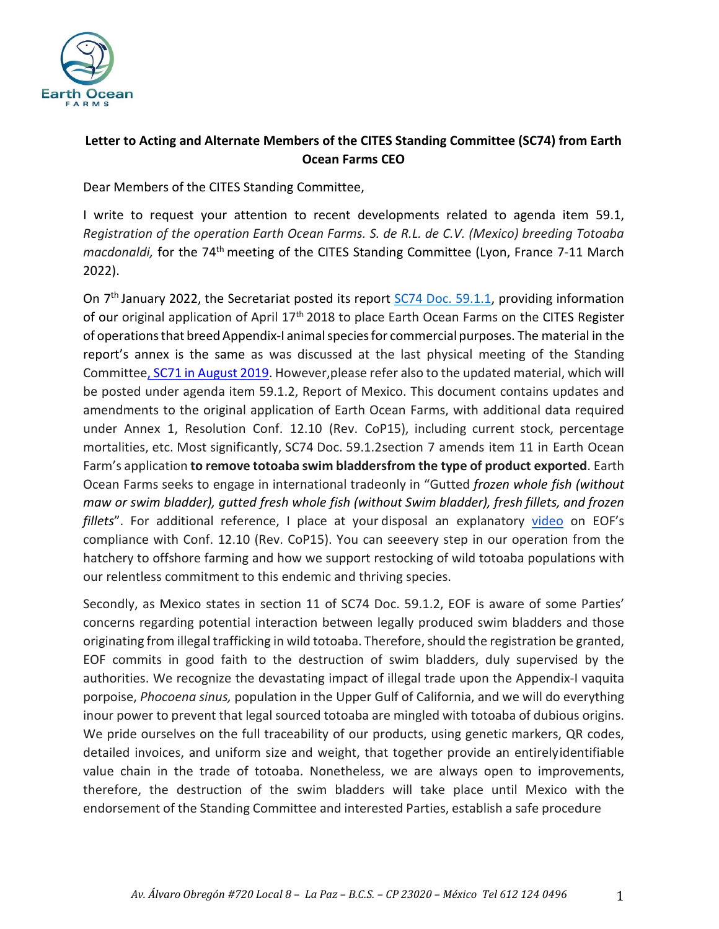

## **Letter to Acting and Alternate Members of the CITES Standing Committee (SC74) from Earth Ocean Farms CEO**

Dear Members of the CITES Standing Committee,

I write to request your attention to recent developments related to agenda item 59.1, *Registration of the operation Earth Ocean Farms. S. de R.L. de C.V. (Mexico) breeding Totoaba macdonaldi*, for the 74<sup>th</sup> meeting of the CITES Standing Committee (Lyon, France 7-11 March 2022).

On  $7<sup>th</sup>$  January 2022, the Secretariat posted its report [SC74 Doc. 59.1.1,](https://cites.org/sites/default/files/eng/com/sc/74/E-SC74-59-01-01.pdf) providing information of our original application of April 17<sup>th</sup> 2018 to place Earth Ocean Farms on the CITES Register of operationsthat breed Appendix-I animalspeciesfor commercial purposes. The material in the report's annex is the same as was discussed at the last physical meeting of the Standing Committe[e, SC71 in August 2019.](https://cites.org/sites/default/files/eng/com/sc/71/exsum/E-SC71-SR.pdf) However, please refer also to the updated material, which will be posted under agenda item 59.1.2, Report of Mexico. This document contains updates and amendments to the original application of Earth Ocean Farms, with additional data required under Annex 1, Resolution Conf. 12.10 (Rev. CoP15), including current stock, percentage mortalities, etc. Most significantly, SC74 Doc. 59.1.2section 7 amends item 11 in Earth Ocean Farm's application **to remove totoaba swim bladdersfrom the type of product exported**. Earth Ocean Farms seeks to engage in international tradeonly in "Gutted *frozen whole fish (without maw or swim bladder), gutted fresh whole fish (without Swim bladder), fresh fillets, and frozen fillets*". For additional reference, I place at your disposal an explanatory [video](https://www.youtube.com/watch?v=VkF7nRMzo34&t=8s) on EOF's compliance with Conf. 12.10 (Rev. CoP15). You can seeevery step in our operation from the hatchery to offshore farming and how we support restocking of wild totoaba populations with our relentless commitment to this endemic and thriving species.

Secondly, as Mexico states in section 11 of SC74 Doc. 59.1.2, EOF is aware of some Parties' concerns regarding potential interaction between legally produced swim bladders and those originating from illegal trafficking in wild totoaba. Therefore, should the registration be granted, EOF commits in good faith to the destruction of swim bladders, duly supervised by the authorities. We recognize the devastating impact of illegal trade upon the Appendix-I vaquita porpoise, *Phocoena sinus,* population in the Upper Gulf of California, and we will do everything inour power to prevent that legal sourced totoaba are mingled with totoaba of dubious origins. We pride ourselves on the full traceability of our products, using genetic markers, QR codes, detailed invoices, and uniform size and weight, that together provide an entirelyidentifiable value chain in the trade of totoaba. Nonetheless, we are always open to improvements, therefore, the destruction of the swim bladders will take place until Mexico with the endorsement of the Standing Committee and interested Parties, establish a safe procedure